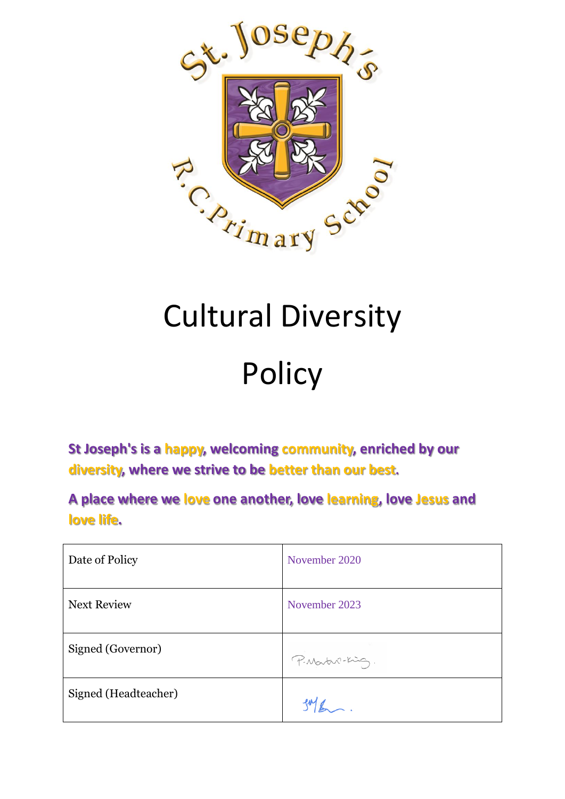

# Cultural Diversity

# Policy

**St Joseph's is a happy, welcoming community, enriched by our diversity, where we strive to be better than our best.**

**A place where we love one another, love learning, love Jesus and love life.**

| Date of Policy       | November 2020   |
|----------------------|-----------------|
| <b>Next Review</b>   | November 2023   |
| Signed (Governor)    | P. Martin-King. |
| Signed (Headteacher) |                 |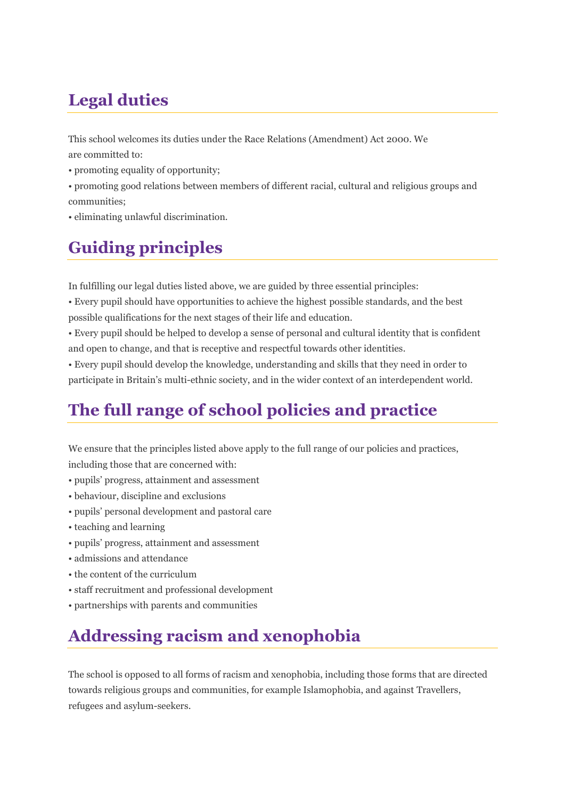## **Legal duties**

This school welcomes its duties under the Race Relations (Amendment) Act 2000. We are committed to:

- promoting equality of opportunity;
- promoting good relations between members of different racial, cultural and religious groups and communities;
- eliminating unlawful discrimination.

## **Guiding principles**

In fulfilling our legal duties listed above, we are guided by three essential principles:

• Every pupil should have opportunities to achieve the highest possible standards, and the best possible qualifications for the next stages of their life and education.

• Every pupil should be helped to develop a sense of personal and cultural identity that is confident and open to change, and that is receptive and respectful towards other identities.

• Every pupil should develop the knowledge, understanding and skills that they need in order to participate in Britain's multi-ethnic society, and in the wider context of an interdependent world.

### **The full range of school policies and practice**

We ensure that the principles listed above apply to the full range of our policies and practices,

including those that are concerned with:

- pupils' progress, attainment and assessment
- behaviour, discipline and exclusions
- pupils' personal development and pastoral care
- teaching and learning
- pupils' progress, attainment and assessment
- admissions and attendance
- the content of the curriculum
- staff recruitment and professional development
- partnerships with parents and communities

### **Addressing racism and xenophobia**

The school is opposed to all forms of racism and xenophobia, including those forms that are directed towards religious groups and communities, for example Islamophobia, and against Travellers, refugees and asylum-seekers.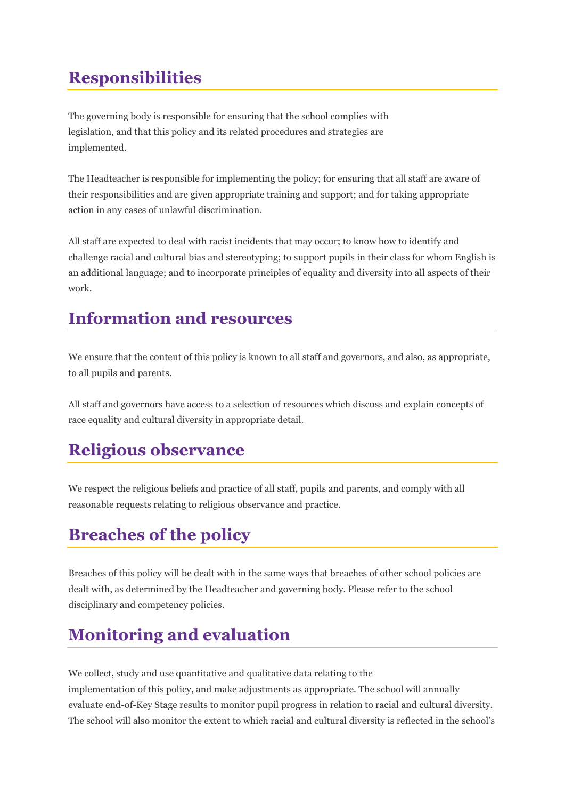## **Responsibilities**

The governing body is responsible for ensuring that the school complies with legislation, and that this policy and its related procedures and strategies are implemented.

The Headteacher is responsible for implementing the policy; for ensuring that all staff are aware of their responsibilities and are given appropriate training and support; and for taking appropriate action in any cases of unlawful discrimination.

All staff are expected to deal with racist incidents that may occur; to know how to identify and challenge racial and cultural bias and stereotyping; to support pupils in their class for whom English is an additional language; and to incorporate principles of equality and diversity into all aspects of their work.

### **Information and resources**

We ensure that the content of this policy is known to all staff and governors, and also, as appropriate, to all pupils and parents.

All staff and governors have access to a selection of resources which discuss and explain concepts of race equality and cultural diversity in appropriate detail.

### **Religious observance**

We respect the religious beliefs and practice of all staff, pupils and parents, and comply with all reasonable requests relating to religious observance and practice.

## **Breaches of the policy**

Breaches of this policy will be dealt with in the same ways that breaches of other school policies are dealt with, as determined by the Headteacher and governing body. Please refer to the school disciplinary and competency policies.

### **Monitoring and evaluation**

We collect, study and use quantitative and qualitative data relating to the implementation of this policy, and make adjustments as appropriate. The school will annually evaluate end-of-Key Stage results to monitor pupil progress in relation to racial and cultural diversity. The school will also monitor the extent to which racial and cultural diversity is reflected in the school's